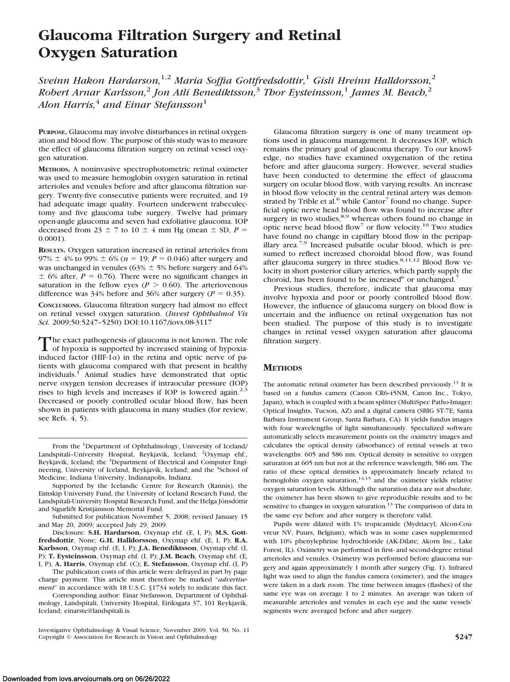# **Glaucoma Filtration Surgery and Retinal Oxygen Saturation**

*Sveinn Hakon Hardarson,*1,2 *Maria Soffia Gottfredsdottir,*<sup>1</sup> *Gisli Hreinn Halldorsson,*<sup>2</sup> *Robert Arnar Karlsson,*<sup>2</sup> *Jon Atli Benediktsson,*<sup>3</sup> *Thor Eysteinsson,*<sup>1</sup> *James M. Beach,*<sup>2</sup> *Alon Harris,*<sup>4</sup> *and Einar Stefansson*<sup>1</sup>

**PURPOSE.** Glaucoma may involve disturbances in retinal oxygenation and blood flow. The purpose of this study was to measure the effect of glaucoma filtration surgery on retinal vessel oxygen saturation.

**METHODS.** A noninvasive spectrophotometric retinal oximeter was used to measure hemoglobin oxygen saturation in retinal arterioles and venules before and after glaucoma filtration surgery. Twenty-five consecutive patients were recruited, and 19 had adequate image quality. Fourteen underwent trabeculectomy and five glaucoma tube surgery. Twelve had primary open-angle glaucoma and seven had exfoliative glaucoma. IOP decreased from 23  $\pm$  7 to 10  $\pm$  4 mm Hg (mean  $\pm$  SD, *P* = 0.0001).

**RESULTS.** Oxygen saturation increased in retinal arterioles from  $97\% \pm 4\%$  to  $99\% \pm 6\%$  ( $n = 19$ ;  $P = 0.046$ ) after surgery and was unchanged in venules (63%  $\pm$  5% before surgery and 64%  $\pm$  6% after,  $P = 0.76$ ). There were no significant changes in saturation in the fellow eyes ( $P > 0.60$ ). The arteriovenous difference was  $34\%$  before and  $36\%$  after surgery ( $P = 0.35$ ).

**CONCLUSIONS.** Glaucoma filtration surgery had almost no effect on retinal vessel oxygen saturation. (*Invest Ophthalmol Vis Sci.* 2009;50:5247–5250) DOI:10.1167/iovs.08-3117

The exact pathogenesis of glaucoma is not known. The role<br>of hypoxia is supported by increased staining of hypoxiainduced factor (HIF-1 $\alpha$ ) in the retina and optic nerve of patients with glaucoma compared with that present in healthy individuals.1 Animal studies have demonstrated that optic nerve oxygen tension decreases if intraocular pressure (IOP) rises to high levels and increases if IOP is lowered again.<sup>2,3</sup> Decreased or poorly controlled ocular blood flow, has been shown in patients with glaucoma in many studies (for review, see Refs. 4, 5).

Supported by the Icelandic Centre for Research (Rannís), the Eimskip University Fund, the University of Iceland Research Fund, the Landspítali-University Hospital Research Fund, and the Helga Jónsdóttir and Sigurliði Kristjánsson Memorial Fund.

Submitted for publication November 5, 2008; revised January 15 and May 20, 2009; accepted July 29, 2009.

Disclosure: **S.H. Hardarson**, Oxymap ehf. (E, I, P); **M.S. Gottfredsdottir**, None; **G.H. Halldorsson**, Oxymap ehf. (E, I, P); **R.A. Karlsson**, Oxymap ehf. (E, I, P); **J.A. Benediktsson**, Oxymap ehf. (I, P); **T. Eysteinsson**, Oxymap ehf. (I, P); **J.M. Beach**, Oxymap ehf. (E, I, P), **A. Harris**, Oxymap ehf. (C); **E. Stefansson**, Oxymap ehf. (I, P)

The publication costs of this article were defrayed in part by page charge payment. This article must therefore be marked "*advertisement*" in accordance with 18 U.S.C. §1734 solely to indicate this fact.

Corresponding author: Einar Stefansson, Department of Ophthalmology, Landspítali, University Hospital, Eiríksgata 37, 101 Reykjavík, Iceland; einarste@landspitali.is.

Investigative Ophthalmology & Visual Science, November 2009, Vol. 50, No. 11 Copyright © Association for Research in Vision and Ophthalmology **5247**

Glaucoma filtration surgery is one of many treatment options used in glaucoma management. It decreases IOP, which remains the primary goal of glaucoma therapy. To our knowledge, no studies have examined oxygenation of the retina before and after glaucoma surgery. However, several studies have been conducted to determine the effect of glaucoma surgery on ocular blood flow, with varying results. An increase in blood flow velocity in the central retinal artery was demonstrated by Trible et al. $<sup>6</sup>$  while Cantor<sup>7</sup> found no change. Super-</sup> ficial optic nerve head blood flow was found to increase after surgery in two studies,<sup>8,9</sup> whereas others found no change in optic nerve head blood flow<sup>7</sup> or flow velocity.<sup>10</sup> Two studies have found no change in capillary blood flow in the peripapillary area.7,9 Increased pulsatile ocular blood, which is presumed to reflect increased choroidal blood flow, was found after glaucoma surgery in three studies. $8,11,12$  Blood flow velocity in short posterior ciliary arteries, which partly supply the choroid, has been found to be increased<sup>6</sup> or unchanged.

Previous studies, therefore, indicate that glaucoma may involve hypoxia and poor or poorly controlled blood flow. However, the influence of glaucoma surgery on blood flow is uncertain and the influence on retinal oxygenation has not been studied. The purpose of this study is to investigate changes in retinal vessel oxygen saturation after glaucoma filtration surgery.

## **METHODS**

The automatic retinal oximeter has been described previously.<sup>13</sup> It is based on a fundus camera (Canon CR6-45NM, Canon Inc., Tokyo, Japan), which is coupled with a beam splitter (MultiSpec Patho-Imager; Optical Insights, Tucson, AZ) and a digital camera (SBIG ST-7E; Santa Barbara Instrument Group, Santa Barbara, CA). It yields fundus images with four wavelengths of light simultaneously. Specialized software automatically selects measurement points on the oximetry images and calculates the optical density (absorbance) of retinal vessels at two wavelengths: 605 and 586 nm. Optical density is sensitive to oxygen saturation at 605 nm but not at the reference wavelength, 586 nm. The ratio of these optical densities is approximately linearly related to hemoglobin oxygen saturation, $14,15$  and the oximeter yields relative oxygen saturation levels. Although the saturation data are not absolute, the oximeter has been shown to give reproducible results and to be sensitive to changes in oxygen saturation.<sup>13</sup> The comparison of data in the same eye before and after surgery is therefore valid.

Pupils were dilated with 1% tropicamide (Mydriacyl; Alcon-Couvreur NV, Puurs, Belgium), which was in some cases supplemented with 10% phenylephrine hydrochloride (AK-Dilate; Akorn Inc., Lake Forest, IL). Oximetry was performed in first- and second-degree retinal arterioles and venules. Oximetry was performed before glaucoma surgery and again approximately 1 month after surgery (Fig. 1). Infrared light was used to align the fundus camera (oximeter), and the images were taken in a dark room. The time between images (flashes) of the same eye was on average 1 to 2 minutes. An average was taken of measurable arterioles and venules in each eye and the same vessels' segments were averaged before and after surgery.

From the <sup>1</sup>Department of Ophthalmology, University of Iceland/ Landspítali-University Hospital, Reykjavik, Iceland; <sup>2</sup>Oxymap ehf., Reykjavik, Iceland; the <sup>3</sup>Department of Electrical and Computer Engineering, University of Iceland, Reykjavik, Iceland; and the <sup>4</sup>School of Medicine, Indiana University, Indianapolis, Indiana.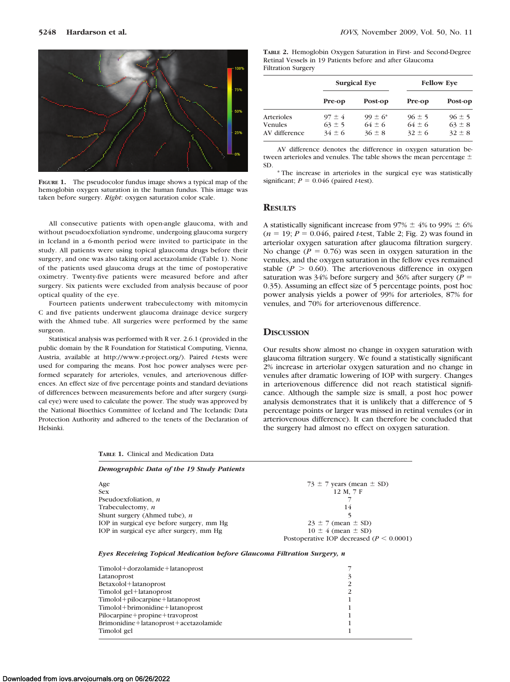

**FIGURE 1.** The pseudocolor fundus image shows a typical map of the hemoglobin oxygen saturation in the human fundus. This image was taken before surgery. *Right*: oxygen saturation color scale.

All consecutive patients with open-angle glaucoma, with and without pseudoexfoliation syndrome, undergoing glaucoma surgery in Iceland in a 6-month period were invited to participate in the study. All patients were using topical glaucoma drugs before their surgery, and one was also taking oral acetazolamide (Table 1). None of the patients used glaucoma drugs at the time of postoperative oximetry. Twenty-five patients were measured before and after surgery. Six patients were excluded from analysis because of poor optical quality of the eye.

Fourteen patients underwent trabeculectomy with mitomycin C and five patients underwent glaucoma drainage device surgery with the Ahmed tube. All surgeries were performed by the same surgeon.

Statistical analysis was performed with R ver. 2.6.1 (provided in the public domain by the R Foundation for Statistical Computing, Vienna, Austria, available at http://www.r-project.org/). Paired *t*-tests were used for comparing the means. Post hoc power analyses were performed separately for arterioles, venules, and arteriovenous differences. An effect size of five percentage points and standard deviations of differences between measurements before and after surgery (surgical eye) were used to calculate the power. The study was approved by the National Bioethics Committee of Iceland and The Icelandic Data Protection Authority and adhered to the tenets of the Declaration of Helsinki.

| <b>TABLE 1. Clinical and Medication Data</b> |
|----------------------------------------------|
|                                              |

| <b>Demographic Data of the 19 Study Patients</b> |  |  |  |  |  |
|--------------------------------------------------|--|--|--|--|--|
|--------------------------------------------------|--|--|--|--|--|

| Age                                       | 73 $\pm$ 7 years (mean $\pm$ SD)               |
|-------------------------------------------|------------------------------------------------|
| Sex                                       | 12 M, 7 F                                      |
| Pseudoexfoliation, n                      |                                                |
| Trabeculectomy, n                         | 14                                             |
| Shunt surgery (Ahmed tube), $n$           |                                                |
| IOP in surgical eye before surgery, mm Hg | $23 \pm 7$ (mean $\pm$ SD)                     |
| IOP in surgical eye after surgery, mm Hg  | $10 \pm 4$ (mean $\pm$ SD)                     |
|                                           | Postoperative IOP decreased ( $P \le 0.0001$ ) |
|                                           |                                                |

*Eyes Receiving Topical Medication before Glaucoma Filtration Surgery, n*

| Timolol+dorzolamide+latanoprost       |  |
|---------------------------------------|--|
| Latanoprost                           |  |
| Betaxolol+latanoprost                 |  |
| Timolol gel+latanoprost               |  |
| Timolol+pilocarpine+latanoprost       |  |
| Timolol+brimonidine+latanoprost       |  |
| Pilocarpine+propine+travoprost        |  |
| Brimonidine+latanoprost+acetazolamide |  |
| Timolol gel                           |  |
|                                       |  |

| <b>TABLE 2. Hemoglobin Oxygen Saturation in First- and Second-Degree</b> |
|--------------------------------------------------------------------------|
| Retinal Vessels in 19 Patients before and after Glaucoma                 |
| <b>Filtration Surgery</b>                                                |

|                                        | <b>Surgical Eye</b>                    |                                          | <b>Fellow Eve</b>                      |                                        |  |
|----------------------------------------|----------------------------------------|------------------------------------------|----------------------------------------|----------------------------------------|--|
|                                        | Pre-op                                 | Post-op                                  | Pre-op                                 | Post-op                                |  |
| Arterioles<br>Venules<br>AV difference | $97 \pm 4$<br>$63 \pm 5$<br>$34 \pm 6$ | $99 \pm 6^*$<br>$64 \pm 6$<br>$36 \pm 8$ | $96 \pm 5$<br>$64 \pm 6$<br>$32 \pm 6$ | $96 \pm 5$<br>$63 \pm 8$<br>$32 \pm 8$ |  |

AV difference denotes the difference in oxygen saturation between arterioles and venules. The table shows the mean percentage  $\pm$ SD.

\* The increase in arterioles in the surgical eye was statistically significant;  $P = 0.046$  (paired *t*-test).

### **RESULTS**

A statistically significant increase from 97%  $\pm$  4% to 99%  $\pm$  6%  $(n = 19; P = 0.046$ , paired *t*-test, Table 2; Fig. 2) was found in arteriolar oxygen saturation after glaucoma filtration surgery. No change  $(P = 0.76)$  was seen in oxygen saturation in the venules, and the oxygen saturation in the fellow eyes remained stable ( $P > 0.60$ ). The arteriovenous difference in oxygen saturation was  $34\%$  before surgery and  $36\%$  after surgery ( $P =$ 0.35). Assuming an effect size of 5 percentage points, post hoc power analysis yields a power of 99% for arterioles, 87% for venules, and 70% for arteriovenous difference.

#### **DISCUSSION**

Our results show almost no change in oxygen saturation with glaucoma filtration surgery. We found a statistically significant 2% increase in arteriolar oxygen saturation and no change in venules after dramatic lowering of IOP with surgery. Changes in arteriovenous difference did not reach statistical significance. Although the sample size is small, a post hoc power analysis demonstrates that it is unlikely that a difference of 5 percentage points or larger was missed in retinal venules (or in arteriovenous difference). It can therefore be concluded that the surgery had almost no effect on oxygen saturation.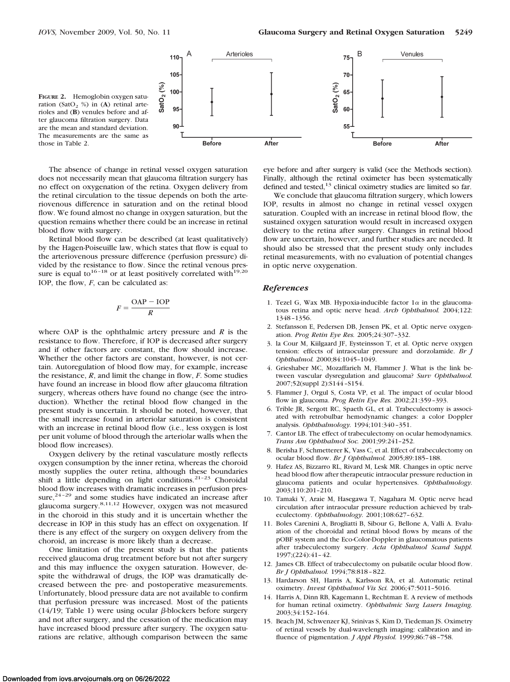

The absence of change in retinal vessel oxygen saturation does not necessarily mean that glaucoma filtration surgery has no effect on oxygenation of the retina. Oxygen delivery from the retinal circulation to the tissue depends on both the arteriovenous difference in saturation and on the retinal blood flow. We found almost no change in oxygen saturation, but the question remains whether there could be an increase in retinal blood flow with surgery.

Retinal blood flow can be described (at least qualitatively) by the Hagen-Poiseuille law, which states that flow is equal to the arteriovenous pressure difference (perfusion pressure) divided by the resistance to flow. Since the retinal venous pressure is equal to<sup>16-18</sup> or at least positively correlated with<sup>19,20</sup> IOP, the flow, *F*, can be calculated as:

$$
F = \frac{\text{OAP} - \text{IOP}}{R}
$$

where OAP is the ophthalmic artery pressure and *R* is the resistance to flow. Therefore, if IOP is decreased after surgery and if other factors are constant, the flow should increase. Whether the other factors are constant, however, is not certain. Autoregulation of blood flow may, for example, increase the resistance, *R*, and limit the change in flow, *F*. Some studies have found an increase in blood flow after glaucoma filtration surgery, whereas others have found no change (see the introduction). Whether the retinal blood flow changed in the present study is uncertain. It should be noted, however, that the small increase found in arteriolar saturation is consistent with an increase in retinal blood flow (i.e., less oxygen is lost per unit volume of blood through the arteriolar walls when the blood flow increases).

Oxygen delivery by the retinal vasculature mostly reflects oxygen consumption by the inner retina, whereas the choroid mostly supplies the outer retina, although these boundaries shift a little depending on light conditions.<sup>21-23</sup> Choroidal blood flow increases with dramatic increases in perfusion pressure, $24 - 29$  and some studies have indicated an increase after glaucoma surgery.<sup>8,11,12</sup> However, oxygen was not measured in the choroid in this study and it is uncertain whether the decrease in IOP in this study has an effect on oxygenation. If there is any effect of the surgery on oxygen delivery from the choroid, an increase is more likely than a decrease.

One limitation of the present study is that the patients received glaucoma drug treatment before but not after surgery and this may influence the oxygen saturation. However, despite the withdrawal of drugs, the IOP was dramatically decreased between the pre- and postoperative measurements. Unfortunately, blood pressure data are not available to confirm that perfusion pressure was increased. Most of the patients (14/19; Table 1) were using ocular  $\beta$ -blockers before surgery and not after surgery, and the cessation of the medication may have increased blood pressure after surgery. The oxygen saturations are relative, although comparison between the same eye before and after surgery is valid (see the Methods section). Finally, although the retinal oximeter has been systematically defined and tested, $13$  clinical oximetry studies are limited so far.

We conclude that glaucoma filtration surgery, which lowers IOP, results in almost no change in retinal vessel oxygen saturation. Coupled with an increase in retinal blood flow, the sustained oxygen saturation would result in increased oxygen delivery to the retina after surgery. Changes in retinal blood flow are uncertain, however, and further studies are needed. It should also be stressed that the present study only includes retinal measurements, with no evaluation of potential changes in optic nerve oxygenation.

#### *References*

- 1. Tezel G, Wax MB. Hypoxia-inducible factor  $1\alpha$  in the glaucomatous retina and optic nerve head. *Arch Ophthalmol.* 2004;122: 1348 –1356.
- 2. Stefansson E, Pedersen DB, Jensen PK, et al. Optic nerve oxygenation. *Prog Retin Eye Res.* 2005;24:307–332.
- 3. la Cour M, Kiilgaard JF, Eysteinsson T, et al. Optic nerve oxygen tension: effects of intraocular pressure and dorzolamide. *Br J Ophthalmol.* 2000;84:1045–1049.
- 4. Grieshaber MC, Mozaffarieh M, Flammer J. What is the link between vascular dysregulation and glaucoma? *Surv Ophthalmol.* 2007;52(suppl 2):S144 –S154.
- 5. Flammer J, Orgul S, Costa VP, et al. The impact of ocular blood flow in glaucoma. *Prog Retin Eye Res.* 2002;21:359 –393.
- 6. Trible JR, Sergott RC, Spaeth GL, et al. Trabeculectomy is associated with retrobulbar hemodynamic changes: a color Doppler analysis. *Ophthalmology.* 1994;101:340 –351.
- 7. Cantor LB. The effect of trabeculectomy on ocular hemodynamics. *Trans Am Ophthalmol Soc.* 2001;99:241–252.
- 8. Berisha F, Schmetterer K, Vass C, et al. Effect of trabeculectomy on ocular blood flow. *Br J Ophthalmol.* 2005;89:185–188.
- 9. Hafez AS, Bizzarro RL, Rivard M, Lesk MR. Changes in optic nerve head blood flow after therapeutic intraocular pressure reduction in glaucoma patients and ocular hypertensives. *Ophthalmology.* 2003;110:201–210.
- 10. Tamaki Y, Araie M, Hasegawa T, Nagahara M. Optic nerve head circulation after intraocular pressure reduction achieved by trabeculectomy. *Ophthalmology.* 2001;108:627– 632.
- 11. Boles Carenini A, Brogliatti B, Sibour G, Bellone A, Valli A. Evaluation of the choroidal and retinal blood flows by means of the pOBF system and the Eco-Color-Doppler in glaucomatous patients after trabeculectomy surgery. *Acta Ophthalmol Scand Suppl.* 1997;(224):41– 42.
- 12. James CB. Effect of trabeculectomy on pulsatile ocular blood flow. *Br J Ophthalmol.* 1994;78:818 – 822.
- 13. Hardarson SH, Harris A, Karlsson RA, et al. Automatic retinal oximetry. *Invest Ophthalmol Vis Sci.* 2006;47:5011–5016.
- 14. Harris A, Dinn RB, Kagemann L, Rechtman E. A review of methods for human retinal oximetry. *Ophthalmic Surg Lasers Imaging.* 2003;34:152–164.
- 15. Beach JM, Schwenzer KJ, Srinivas S, Kim D, Tiedeman JS. Oximetry of retinal vessels by dual-wavelength imaging: calibration and influence of pigmentation. *J Appl Physiol.* 1999;86:748 –758.